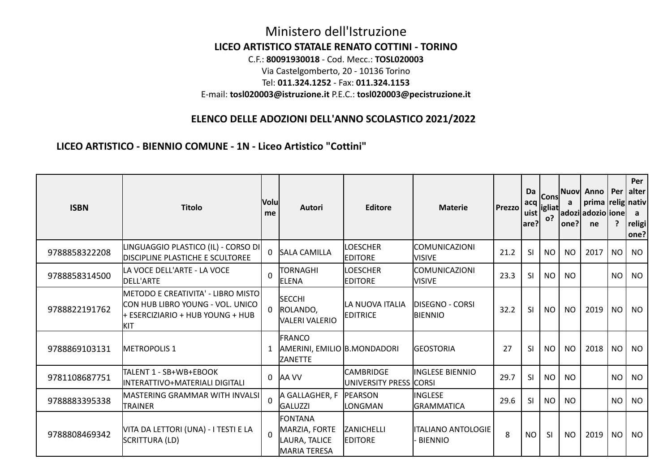## Ministero dell'Istruzione **LICEO ARTISTICO STATALE RENATO COTTINI - TORINO** C.F.: **80091930018** - Cod. Mecc.: **TOSL020003** Via Castelgomberto, 20 - 10136 Torino Tel: **011.324.1252** - Fax: **011.324.1153** E-mail: **tosl020003@istruzione.it** P.E.C.: **tosl020003@pecistruzione.it**

## **ELENCO DELLE ADOZIONI DELL'ANNO SCOLASTICO 2021/2022**

**LICEO ARTISTICO - BIENNIO COMUNE - 1N - Liceo Artistico "Cottini"**

| <b>ISBN</b>   | <b>Titolo</b>                                                                                                     | <b>Volu</b><br>me | <b>Autori</b>                                                  | <b>Editore</b>                                | <b>Materie</b>                           | Prezzo | Da<br>acq<br>uist<br>are? | lConsl<br> igliat <br><b>o?</b> | a<br>one?l | Nuov Anno   Per   alter<br>prima   relig   nativ  <br>adoziladozio lionel]<br>ne | ?         | Per<br>a<br>religi<br>one? |
|---------------|-------------------------------------------------------------------------------------------------------------------|-------------------|----------------------------------------------------------------|-----------------------------------------------|------------------------------------------|--------|---------------------------|---------------------------------|------------|----------------------------------------------------------------------------------|-----------|----------------------------|
| 9788858322208 | LINGUAGGIO PLASTICO (IL) - CORSO DI<br><b>DISCIPLINE PLASTICHE E SCULTOREE</b>                                    |                   | <b>SALA CAMILLA</b>                                            | <b>LOESCHER</b><br><b>EDITORE</b>             | <b>COMUNICAZIONI</b><br><b>NISIVE</b>    | 21.2   | SI                        | <b>NO</b>                       | <b>NO</b>  | 2017                                                                             | NO.       | <b>NO</b>                  |
| 9788858314500 | LA VOCE DELL'ARTE - LA VOCE<br>DELL'ARTE                                                                          | $\Omega$          | TORNAGHI<br>ELENA                                              | <b>LOESCHER</b><br><b>EDITORE</b>             | <b>COMUNICAZIONI</b><br><b>VISIVE</b>    | 23.3   | SI                        | <b>NO</b>                       | NO.        |                                                                                  | NO.       | <b>NO</b>                  |
| 9788822191762 | METODO E CREATIVITA' - LIBRO MISTO<br>CON HUB LIBRO YOUNG - VOL. UNICO<br>+ ESERCIZIARIO + HUB YOUNG + HUB<br>KIT |                   | <b>SECCHI</b><br>ROLANDO,<br>IVALERI VALERIO                   | <b>LA NUOVA ITALIA</b><br><b>EDITRICE</b>     | <b>DISEGNO - CORSI</b><br><b>BIENNIO</b> | 32.2   | <b>SI</b>                 | NO.                             | <b>NO</b>  | 2019                                                                             | NO.       | <b>NO</b>                  |
| 9788869103131 | <b>METROPOLIS 1</b>                                                                                               |                   | <b>FRANCO</b><br>AMERINI, EMILIO B.MONDADORI<br><b>ZANETTE</b> |                                               | <b>GEOSTORIA</b>                         | 27     | SI                        | <b>NO</b>                       | <b>NO</b>  | 2018                                                                             | <b>NO</b> | <b>NO</b>                  |
| 9781108687751 | TALENT 1 - SB+WB+EBOOK<br>INTERATTIVO+MATERIALI DIGITALI                                                          | 0                 | AA VV                                                          | <b>ICAMBRIDGE</b><br>JUNIVERSITY PRESS  CORSI | linglese biennio                         | 29.7   | <sup>SI</sup>             | NO.                             | NO.        |                                                                                  | NO.       | <b>NO</b>                  |
| 9788883395338 | MASTERING GRAMMAR WITH INVALSI $\mathsf I$<br><b>TRAINER</b>                                                      | $\Omega$          | A GALLAGHER, F<br>GALUZZI                                      | <b>IPEARSON</b><br>LONGMAN                    | linglese<br><b>GRAMMATICA</b>            | 29.6   | SI                        | <b>NO</b>                       | NO.        |                                                                                  | NO.       | <b>NO</b>                  |
| 9788808469342 | VITA DA LETTORI (UNA) - I TESTI E LA<br>SCRITTURA (LD)                                                            | $\Omega$          | FONTANA<br>MARZIA, FORTE<br>LAURA, TALICE<br>MARIA TERESA      | <b>ZANICHELLI</b><br><b>EDITORE</b>           | litaliano antologie l<br><b>BIENNIO</b>  | 8      | NO.                       | -SI                             | NO.        | 2019                                                                             | NO        | <b>NO</b>                  |